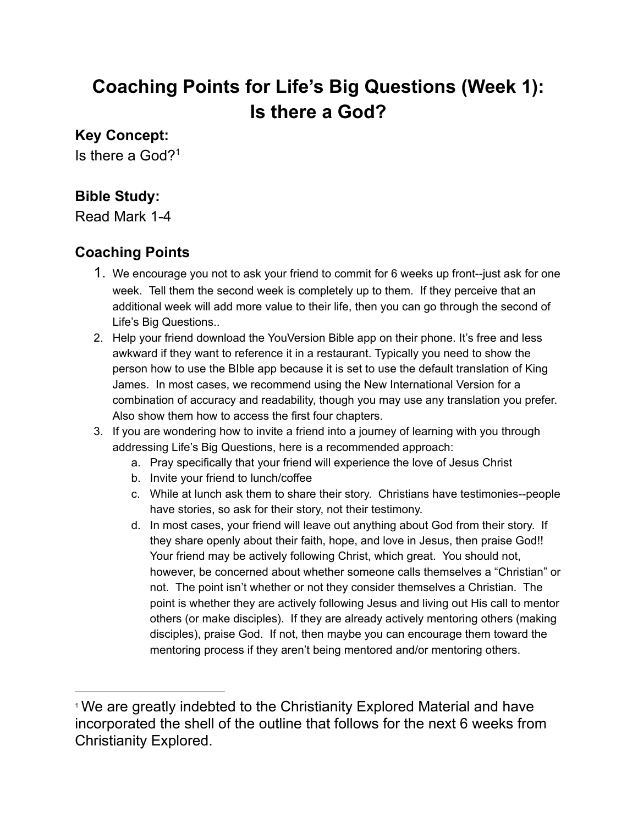# **Coaching Points for Life's Big Questions (Week 1): Is there a God?**

#### **Key Concept:**

Is there a God? 1

### **Bible Study:**

Read Mark 1-4

## **Coaching Points**

- 1. We encourage you not to ask your friend to commit for 6 weeks up front--just ask for one week. Tell them the second week is completely up to them. If they perceive that an additional week will add more value to their life, then you can go through the second of Life's Big Questions..
- 2. Help your friend download the YouVersion Bible app on their phone. It's free and less awkward if they want to reference it in a restaurant. Typically you need to show the person how to use the BIble app because it is set to use the default translation of King James. In most cases, we recommend using the New International Version for a combination of accuracy and readability, though you may use any translation you prefer. Also show them how to access the first four chapters.
- 3. If you are wondering how to invite a friend into a journey of learning with you through addressing Life's Big Questions, here is a recommended approach:
	- a. Pray specifically that your friend will experience the love of Jesus Christ
	- b. Invite your friend to lunch/coffee
	- c. While at lunch ask them to share their story. Christians have testimonies--people have stories, so ask for their story, not their testimony.
	- d. In most cases, your friend will leave out anything about God from their story. If they share openly about their faith, hope, and love in Jesus, then praise God!! Your friend may be actively following Christ, which great. You should not, however, be concerned about whether someone calls themselves a "Christian" or not. The point isn't whether or not they consider themselves a Christian. The point is whether they are actively following Jesus and living out His call to mentor others (or make disciples). If they are already actively mentoring others (making disciples), praise God. If not, then maybe you can encourage them toward the mentoring process if they aren't being mentored and/or mentoring others.

<sup>&</sup>lt;sup>1</sup> We are greatly indebted to the Christianity Explored Material and have incorporated the shell of the outline that follows for the next 6 weeks from Christianity Explored.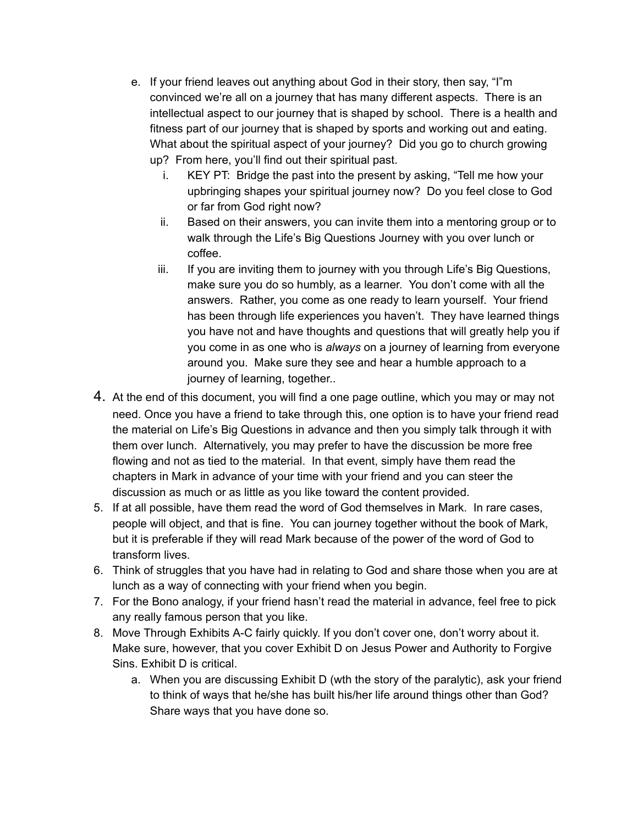- e. If your friend leaves out anything about God in their story, then say, "I"m convinced we're all on a journey that has many different aspects. There is an intellectual aspect to our journey that is shaped by school. There is a health and fitness part of our journey that is shaped by sports and working out and eating. What about the spiritual aspect of your journey? Did you go to church growing up? From here, you'll find out their spiritual past.
	- i. KEY PT: Bridge the past into the present by asking, "Tell me how your upbringing shapes your spiritual journey now? Do you feel close to God or far from God right now?
	- ii. Based on their answers, you can invite them into a mentoring group or to walk through the Life's Big Questions Journey with you over lunch or coffee.
	- iii. If you are inviting them to journey with you through Life's Big Questions, make sure you do so humbly, as a learner. You don't come with all the answers. Rather, you come as one ready to learn yourself. Your friend has been through life experiences you haven't. They have learned things you have not and have thoughts and questions that will greatly help you if you come in as one who is *always* on a journey of learning from everyone around you. Make sure they see and hear a humble approach to a journey of learning, together..
- 4. At the end of this document, you will find a one page outline, which you may or may not need. Once you have a friend to take through this, one option is to have your friend read the material on Life's Big Questions in advance and then you simply talk through it with them over lunch. Alternatively, you may prefer to have the discussion be more free flowing and not as tied to the material. In that event, simply have them read the chapters in Mark in advance of your time with your friend and you can steer the discussion as much or as little as you like toward the content provided.
- 5. If at all possible, have them read the word of God themselves in Mark. In rare cases, people will object, and that is fine. You can journey together without the book of Mark, but it is preferable if they will read Mark because of the power of the word of God to transform lives.
- 6. Think of struggles that you have had in relating to God and share those when you are at lunch as a way of connecting with your friend when you begin.
- 7. For the Bono analogy, if your friend hasn't read the material in advance, feel free to pick any really famous person that you like.
- 8. Move Through Exhibits A-C fairly quickly. If you don't cover one, don't worry about it. Make sure, however, that you cover Exhibit D on Jesus Power and Authority to Forgive Sins. Exhibit D is critical.
	- a. When you are discussing Exhibit D (wth the story of the paralytic), ask your friend to think of ways that he/she has built his/her life around things other than God? Share ways that you have done so.